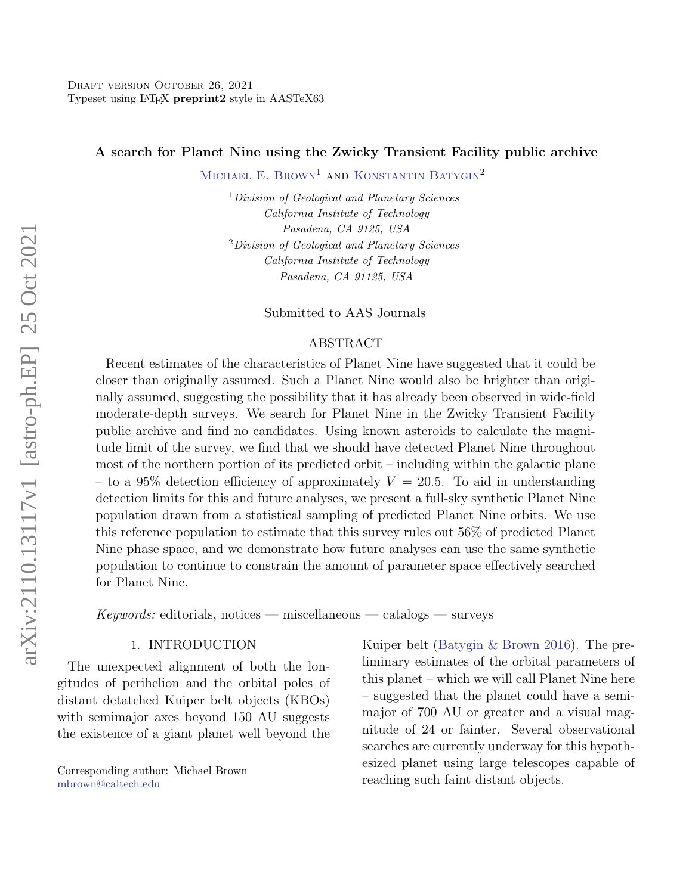#### A search for Planet Nine using the Zwicky Transient Facility public archive

MICHAEL E. BROWN<sup>1</sup> AND KONSTANTIN BATYGIN<sup>2</sup>

<sup>1</sup>Division of Geological and Planetary Sciences California Institute of Technology Pasadena, CA 9125, USA <sup>2</sup>Division of Geological and Planetary Sciences California Institute of Technology Pasadena, CA 91125, USA

Submitted to AAS Journals

# ABSTRACT

Recent estimates of the characteristics of Planet Nine have suggested that it could be closer than originally assumed. Such a Planet Nine would also be brighter than originally assumed, suggesting the possibility that it has already been observed in wide-field moderate-depth surveys. We search for Planet Nine in the Zwicky Transient Facility public archive and find no candidates. Using known asteroids to calculate the magnitude limit of the survey, we find that we should have detected Planet Nine throughout most of the northern portion of its predicted orbit – including within the galactic plane – to a 95% detection efficiency of approximately  $V = 20.5$ . To aid in understanding detection limits for this and future analyses, we present a full-sky synthetic Planet Nine population drawn from a statistical sampling of predicted Planet Nine orbits. We use this reference population to estimate that this survey rules out 56% of predicted Planet Nine phase space, and we demonstrate how future analyses can use the same synthetic population to continue to constrain the amount of parameter space effectively searched for Planet Nine.

 $Keywords:$  editorials, notices — miscellaneous — catalogs — surveys

## 1. INTRODUCTION

The unexpected alignment of both the longitudes of perihelion and the orbital poles of distant detatched Kuiper belt objects (KBOs) with semimajor axes beyond 150 AU suggests the existence of a giant planet well beyond the

Corresponding author: Michael Brown [mbrown@caltech.edu](mailto: mbrown@caltech.edu)

Kuiper belt [\(Batygin & Brown](#page-10-0) [2016\)](#page-10-0). The preliminary estimates of the orbital parameters of this planet – which we will call Planet Nine here – suggested that the planet could have a semimajor of 700 AU or greater and a visual magnitude of 24 or fainter. Several observational searches are currently underway for this hypothesized planet using large telescopes capable of reaching such faint distant objects.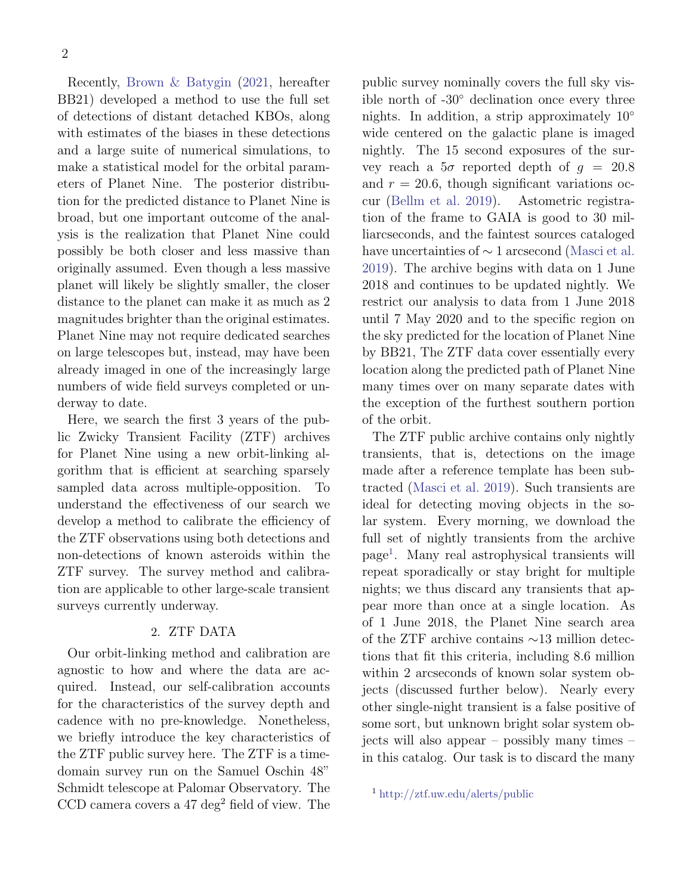Recently, [Brown & Batygin](#page-10-1) [\(2021,](#page-10-1) hereafter BB21) developed a method to use the full set of detections of distant detached KBOs, along with estimates of the biases in these detections and a large suite of numerical simulations, to make a statistical model for the orbital parameters of Planet Nine. The posterior distribution for the predicted distance to Planet Nine is broad, but one important outcome of the analysis is the realization that Planet Nine could possibly be both closer and less massive than originally assumed. Even though a less massive planet will likely be slightly smaller, the closer distance to the planet can make it as much as 2 magnitudes brighter than the original estimates. Planet Nine may not require dedicated searches on large telescopes but, instead, may have been already imaged in one of the increasingly large numbers of wide field surveys completed or underway to date.

Here, we search the first 3 years of the public Zwicky Transient Facility (ZTF) archives for Planet Nine using a new orbit-linking algorithm that is efficient at searching sparsely sampled data across multiple-opposition. To understand the effectiveness of our search we develop a method to calibrate the efficiency of the ZTF observations using both detections and non-detections of known asteroids within the ZTF survey. The survey method and calibration are applicable to other large-scale transient surveys currently underway.

#### 2. ZTF DATA

Our orbit-linking method and calibration are agnostic to how and where the data are acquired. Instead, our self-calibration accounts for the characteristics of the survey depth and cadence with no pre-knowledge. Nonetheless, we briefly introduce the key characteristics of the ZTF public survey here. The ZTF is a timedomain survey run on the Samuel Oschin 48" Schmidt telescope at Palomar Observatory. The CCD camera covers a  $47 \text{ deg}^2$  field of view. The

public survey nominally covers the full sky visible north of -30◦ declination once every three nights. In addition, a strip approximately 10◦ wide centered on the galactic plane is imaged nightly. The 15 second exposures of the survey reach a  $5\sigma$  reported depth of  $q = 20.8$ and  $r = 20.6$ , though significant variations occur [\(Bellm et al.](#page-10-2) [2019\)](#page-10-2). Astometric registration of the frame to GAIA is good to 30 milliarcseconds, and the faintest sources cataloged have uncertainties of ∼ 1 arcsecond [\(Masci et al.](#page-10-3) [2019\)](#page-10-3). The archive begins with data on 1 June 2018 and continues to be updated nightly. We restrict our analysis to data from 1 June 2018 until 7 May 2020 and to the specific region on the sky predicted for the location of Planet Nine by BB21, The ZTF data cover essentially every location along the predicted path of Planet Nine many times over on many separate dates with the exception of the furthest southern portion of the orbit.

The ZTF public archive contains only nightly transients, that is, detections on the image made after a reference template has been subtracted [\(Masci et al.](#page-10-3) [2019\)](#page-10-3). Such transients are ideal for detecting moving objects in the solar system. Every morning, we download the full set of nightly transients from the archive page[1](#page-1-0) . Many real astrophysical transients will repeat sporadically or stay bright for multiple nights; we thus discard any transients that appear more than once at a single location. As of 1 June 2018, the Planet Nine search area of the ZTF archive contains ∼13 million detections that fit this criteria, including 8.6 million within 2 arcseconds of known solar system objects (discussed further below). Nearly every other single-night transient is a false positive of some sort, but unknown bright solar system objects will also appear – possibly many times – in this catalog. Our task is to discard the many

<span id="page-1-0"></span><sup>1</sup> <http://ztf.uw.edu/alerts/public>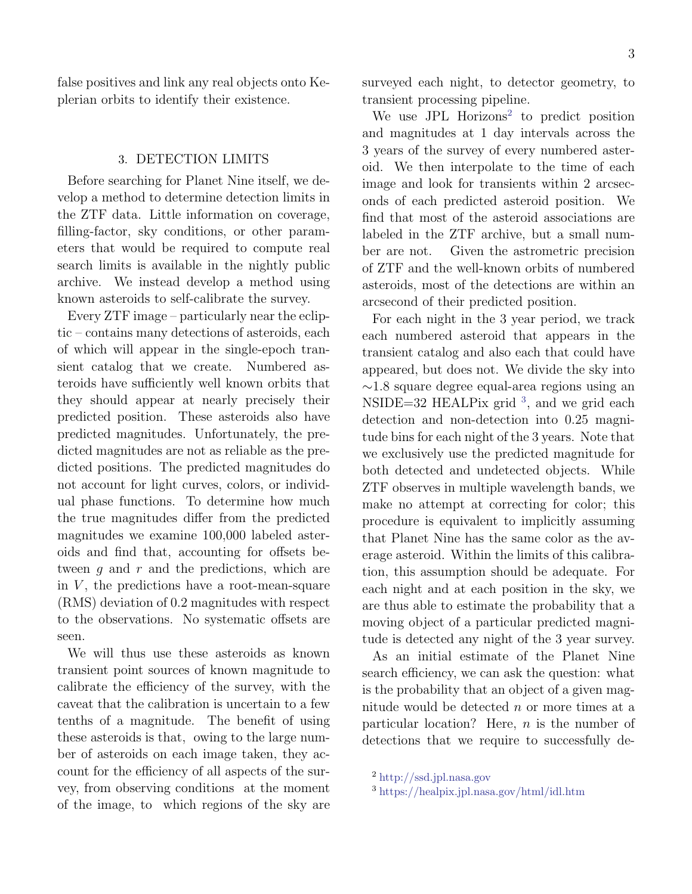false positives and link any real objects onto Keplerian orbits to identify their existence.

### 3. DETECTION LIMITS

Before searching for Planet Nine itself, we develop a method to determine detection limits in the ZTF data. Little information on coverage, filling-factor, sky conditions, or other parameters that would be required to compute real search limits is available in the nightly public archive. We instead develop a method using known asteroids to self-calibrate the survey.

Every ZTF image – particularly near the ecliptic – contains many detections of asteroids, each of which will appear in the single-epoch transient catalog that we create. Numbered asteroids have sufficiently well known orbits that they should appear at nearly precisely their predicted position. These asteroids also have predicted magnitudes. Unfortunately, the predicted magnitudes are not as reliable as the predicted positions. The predicted magnitudes do not account for light curves, colors, or individual phase functions. To determine how much the true magnitudes differ from the predicted magnitudes we examine 100,000 labeled asteroids and find that, accounting for offsets between  $g$  and  $r$  and the predictions, which are in  $V$ , the predictions have a root-mean-square (RMS) deviation of 0.2 magnitudes with respect to the observations. No systematic offsets are seen.

We will thus use these asteroids as known transient point sources of known magnitude to calibrate the efficiency of the survey, with the caveat that the calibration is uncertain to a few tenths of a magnitude. The benefit of using these asteroids is that, owing to the large number of asteroids on each image taken, they account for the efficiency of all aspects of the survey, from observing conditions at the moment of the image, to which regions of the sky are surveyed each night, to detector geometry, to transient processing pipeline.

We use JPL Horizons<sup>[2](#page-2-0)</sup> to predict position and magnitudes at 1 day intervals across the 3 years of the survey of every numbered asteroid. We then interpolate to the time of each image and look for transients within 2 arcseconds of each predicted asteroid position. We find that most of the asteroid associations are labeled in the ZTF archive, but a small number are not. Given the astrometric precision of ZTF and the well-known orbits of numbered asteroids, most of the detections are within an arcsecond of their predicted position.

For each night in the 3 year period, we track each numbered asteroid that appears in the transient catalog and also each that could have appeared, but does not. We divide the sky into ∼1.8 square degree equal-area regions using an NSIDE=[3](#page-2-1)2 HEALPix grid  $3$ , and we grid each detection and non-detection into 0.25 magnitude bins for each night of the 3 years. Note that we exclusively use the predicted magnitude for both detected and undetected objects. While ZTF observes in multiple wavelength bands, we make no attempt at correcting for color; this procedure is equivalent to implicitly assuming that Planet Nine has the same color as the average asteroid. Within the limits of this calibration, this assumption should be adequate. For each night and at each position in the sky, we are thus able to estimate the probability that a moving object of a particular predicted magnitude is detected any night of the 3 year survey.

As an initial estimate of the Planet Nine search efficiency, we can ask the question: what is the probability that an object of a given magnitude would be detected n or more times at a particular location? Here, n is the number of detections that we require to successfully de-

<span id="page-2-0"></span><sup>2</sup> <http://ssd.jpl.nasa.gov>

<span id="page-2-1"></span><sup>3</sup> <https://healpix.jpl.nasa.gov/html/idl.htm>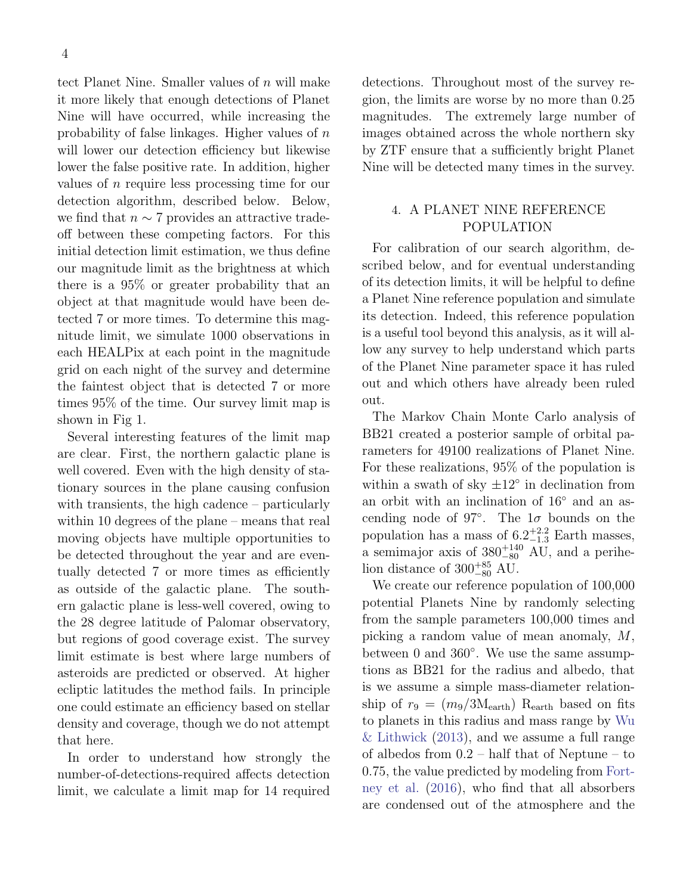tect Planet Nine. Smaller values of n will make it more likely that enough detections of Planet Nine will have occurred, while increasing the probability of false linkages. Higher values of  $n$ will lower our detection efficiency but likewise lower the false positive rate. In addition, higher values of n require less processing time for our detection algorithm, described below. Below, we find that  $n \sim 7$  provides an attractive tradeoff between these competing factors. For this initial detection limit estimation, we thus define our magnitude limit as the brightness at which there is a 95% or greater probability that an object at that magnitude would have been detected 7 or more times. To determine this magnitude limit, we simulate 1000 observations in each HEALPix at each point in the magnitude grid on each night of the survey and determine the faintest object that is detected 7 or more times 95% of the time. Our survey limit map is shown in Fig 1.

Several interesting features of the limit map are clear. First, the northern galactic plane is well covered. Even with the high density of stationary sources in the plane causing confusion with transients, the high cadence – particularly within 10 degrees of the plane – means that real moving objects have multiple opportunities to be detected throughout the year and are eventually detected 7 or more times as efficiently as outside of the galactic plane. The southern galactic plane is less-well covered, owing to the 28 degree latitude of Palomar observatory, but regions of good coverage exist. The survey limit estimate is best where large numbers of asteroids are predicted or observed. At higher ecliptic latitudes the method fails. In principle one could estimate an efficiency based on stellar density and coverage, though we do not attempt that here.

In order to understand how strongly the number-of-detections-required affects detection limit, we calculate a limit map for 14 required

detections. Throughout most of the survey region, the limits are worse by no more than 0.25 magnitudes. The extremely large number of images obtained across the whole northern sky by ZTF ensure that a sufficiently bright Planet Nine will be detected many times in the survey.

# 4. A PLANET NINE REFERENCE POPULATION

For calibration of our search algorithm, described below, and for eventual understanding of its detection limits, it will be helpful to define a Planet Nine reference population and simulate its detection. Indeed, this reference population is a useful tool beyond this analysis, as it will allow any survey to help understand which parts of the Planet Nine parameter space it has ruled out and which others have already been ruled out.

The Markov Chain Monte Carlo analysis of BB21 created a posterior sample of orbital parameters for 49100 realizations of Planet Nine. For these realizations, 95% of the population is within a swath of sky  $\pm 12^{\circ}$  in declination from an orbit with an inclination of 16◦ and an ascending node of 97°. The  $1\sigma$  bounds on the population has a mass of  $6.2^{+2.2}_{-1.3}$  Earth masses, a semimajor axis of  $380^{+140}_{-80}$  AU, and a perihelion distance of  $300^{+85}_{-80}$  AU.

We create our reference population of 100,000 potential Planets Nine by randomly selecting from the sample parameters 100,000 times and picking a random value of mean anomaly, M, between 0 and 360°. We use the same assumptions as BB21 for the radius and albedo, that is we assume a simple mass-diameter relationship of  $r_9 = (m_9/3M_{\text{earth}})$  R<sub>earth</sub> based on fits to planets in this radius and mass range by [Wu](#page-10-4)  $&$  Lithwick [\(2013\)](#page-10-4), and we assume a full range of albedos from 0.2 – half that of Neptune – to 0.75, the value predicted by modeling from [Fort](#page-10-5)[ney et al.](#page-10-5) [\(2016\)](#page-10-5), who find that all absorbers are condensed out of the atmosphere and the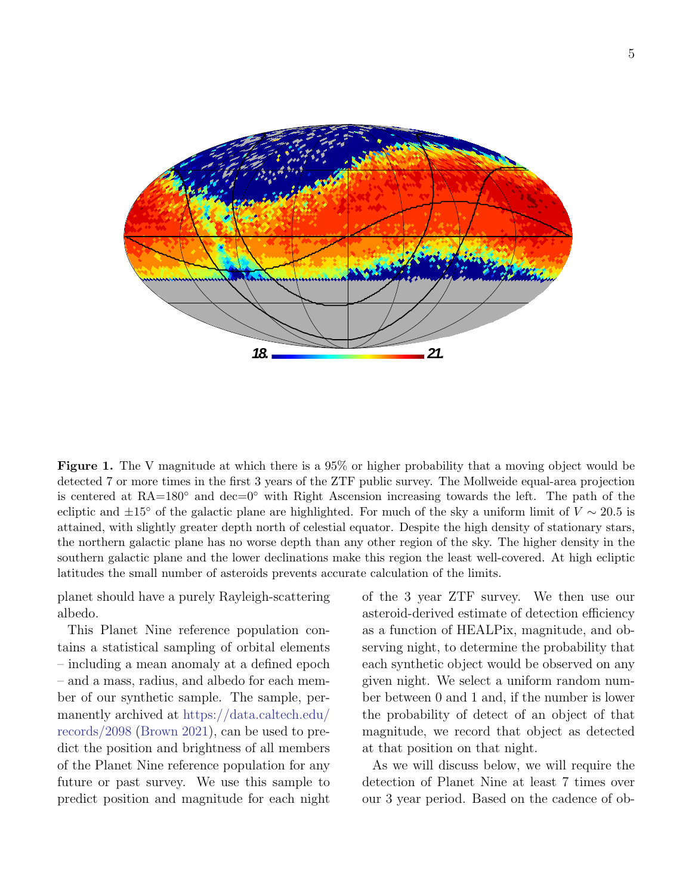

Figure 1. The V magnitude at which there is a 95% or higher probability that a moving object would be detected 7 or more times in the first 3 years of the ZTF public survey. The Mollweide equal-area projection is centered at RA=180 $\degree$  and dec=0 $\degree$  with Right Ascension increasing towards the left. The path of the ecliptic and  $\pm 15^\circ$  of the galactic plane are highlighted. For much of the sky a uniform limit of  $V \sim 20.5$  is attained, with slightly greater depth north of celestial equator. Despite the high density of stationary stars, the northern galactic plane has no worse depth than any other region of the sky. The higher density in the southern galactic plane and the lower declinations make this region the least well-covered. At high ecliptic latitudes the small number of asteroids prevents accurate calculation of the limits.

planet should have a purely Rayleigh-scattering albedo.

This Planet Nine reference population contains a statistical sampling of orbital elements – including a mean anomaly at a defined epoch – and a mass, radius, and albedo for each member of our synthetic sample. The sample, permanently archived at [https://data.caltech.edu/](https://data.caltech.edu/records/2098) [records/2098](https://data.caltech.edu/records/2098) [\(Brown](#page-10-6) [2021\)](#page-10-6), can be used to predict the position and brightness of all members of the Planet Nine reference population for any future or past survey. We use this sample to predict position and magnitude for each night

of the 3 year ZTF survey. We then use our asteroid-derived estimate of detection efficiency as a function of HEALPix, magnitude, and observing night, to determine the probability that each synthetic object would be observed on any given night. We select a uniform random number between 0 and 1 and, if the number is lower the probability of detect of an object of that magnitude, we record that object as detected at that position on that night.

As we will discuss below, we will require the detection of Planet Nine at least 7 times over our 3 year period. Based on the cadence of ob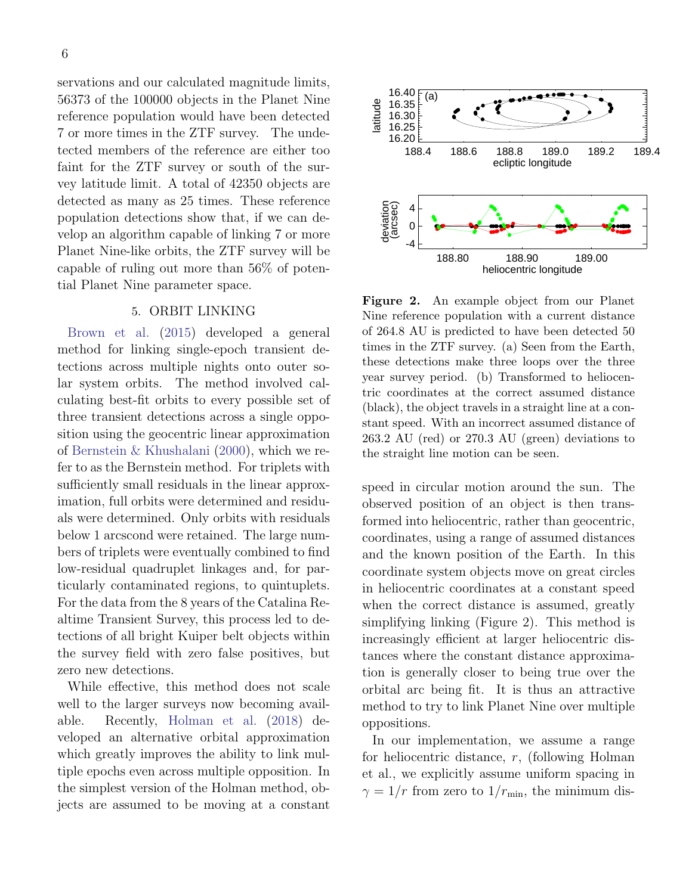servations and our calculated magnitude limits, 56373 of the 100000 objects in the Planet Nine reference population would have been detected 7 or more times in the ZTF survey. The undetected members of the reference are either too faint for the ZTF survey or south of the survey latitude limit. A total of 42350 objects are detected as many as 25 times. These reference population detections show that, if we can develop an algorithm capable of linking 7 or more Planet Nine-like orbits, the ZTF survey will be capable of ruling out more than 56% of potential Planet Nine parameter space.

## 5. ORBIT LINKING

[Brown et al.](#page-10-7) [\(2015\)](#page-10-7) developed a general method for linking single-epoch transient detections across multiple nights onto outer solar system orbits. The method involved calculating best-fit orbits to every possible set of three transient detections across a single opposition using the geocentric linear approximation of [Bernstein & Khushalani](#page-10-8) [\(2000\)](#page-10-8), which we refer to as the Bernstein method. For triplets with sufficiently small residuals in the linear approximation, full orbits were determined and residuals were determined. Only orbits with residuals below 1 arcscond were retained. The large numbers of triplets were eventually combined to find low-residual quadruplet linkages and, for particularly contaminated regions, to quintuplets. For the data from the 8 years of the Catalina Realtime Transient Survey, this process led to detections of all bright Kuiper belt objects within the survey field with zero false positives, but zero new detections.

While effective, this method does not scale well to the larger surveys now becoming available. Recently, [Holman et al.](#page-10-9) [\(2018\)](#page-10-9) developed an alternative orbital approximation which greatly improves the ability to link multiple epochs even across multiple opposition. In the simplest version of the Holman method, objects are assumed to be moving at a constant



Figure 2. An example object from our Planet Nine reference population with a current distance of 264.8 AU is predicted to have been detected 50 times in the ZTF survey. (a) Seen from the Earth, these detections make three loops over the three year survey period. (b) Transformed to heliocentric coordinates at the correct assumed distance (black), the object travels in a straight line at a constant speed. With an incorrect assumed distance of 263.2 AU (red) or 270.3 AU (green) deviations to the straight line motion can be seen.

speed in circular motion around the sun. The observed position of an object is then transformed into heliocentric, rather than geocentric, coordinates, using a range of assumed distances and the known position of the Earth. In this coordinate system objects move on great circles in heliocentric coordinates at a constant speed when the correct distance is assumed, greatly simplifying linking (Figure 2). This method is increasingly efficient at larger heliocentric distances where the constant distance approximation is generally closer to being true over the orbital arc being fit. It is thus an attractive method to try to link Planet Nine over multiple oppositions.

In our implementation, we assume a range for heliocentric distance,  $r$ , (following Holman et al., we explicitly assume uniform spacing in  $\gamma = 1/r$  from zero to  $1/r_{\text{min}}$ , the minimum dis-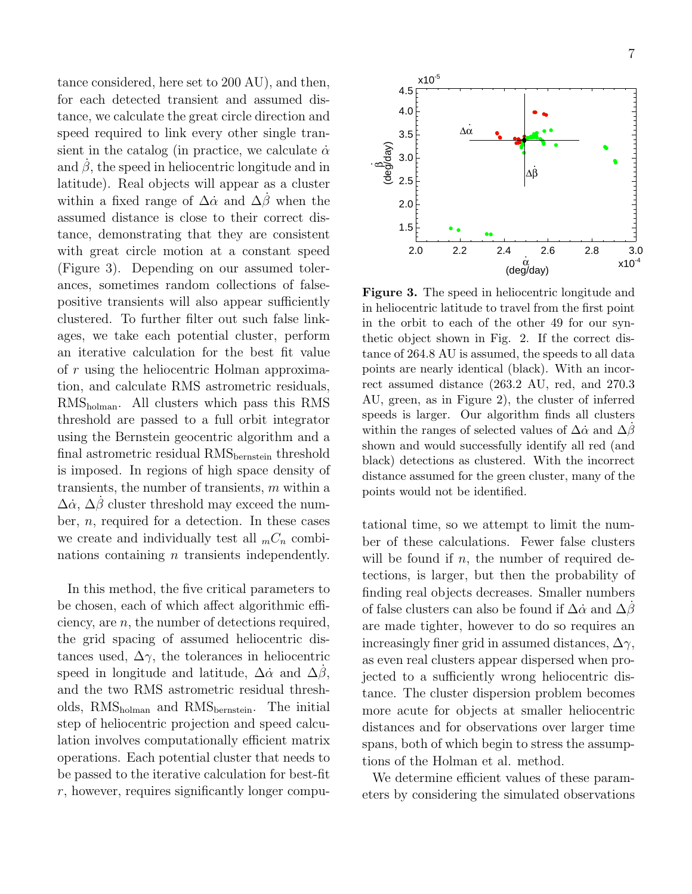tance considered, here set to 200 AU), and then, for each detected transient and assumed distance, we calculate the great circle direction and speed required to link every other single transient in the catalog (in practice, we calculate  $\dot{\alpha}$ and  $\dot{\beta}$ , the speed in heliocentric longitude and in latitude). Real objects will appear as a cluster within a fixed range of  $\Delta \dot{\alpha}$  and  $\Delta \dot{\beta}$  when the assumed distance is close to their correct distance, demonstrating that they are consistent with great circle motion at a constant speed (Figure 3). Depending on our assumed tolerances, sometimes random collections of falsepositive transients will also appear sufficiently clustered. To further filter out such false linkages, we take each potential cluster, perform an iterative calculation for the best fit value of r using the heliocentric Holman approximation, and calculate RMS astrometric residuals, RMSholman. All clusters which pass this RMS threshold are passed to a full orbit integrator using the Bernstein geocentric algorithm and a final astrometric residual  $\rm RMS_{bernstein}$  threshold is imposed. In regions of high space density of transients, the number of transients, m within a  $\Delta \dot{\alpha}$ ,  $\Delta \dot{\beta}$  cluster threshold may exceed the number,  $n$ , required for a detection. In these cases we create and individually test all  ${}_{m}C_{n}$  combinations containing n transients independently.

In this method, the five critical parameters to be chosen, each of which affect algorithmic efficiency, are  $n$ , the number of detections required, the grid spacing of assumed heliocentric distances used,  $\Delta \gamma$ , the tolerances in heliocentric speed in longitude and latitude,  $\Delta \dot{\alpha}$  and  $\Delta \dot{\beta}$ , and the two RMS astrometric residual thresholds, RMS<sub>holman</sub> and RMS<sub>bernstein</sub>. The initial step of heliocentric projection and speed calculation involves computationally efficient matrix operations. Each potential cluster that needs to be passed to the iterative calculation for best-fit  $r$ , however, requires significantly longer compu-



2.0 2.2 2.4 2.6 2.8 3.0 α (deg/day)

.

Figure 3. The speed in heliocentric longitude and in heliocentric latitude to travel from the first point in the orbit to each of the other 49 for our synthetic object shown in Fig. 2. If the correct distance of 264.8 AU is assumed, the speeds to all data points are nearly identical (black). With an incorrect assumed distance (263.2 AU, red, and 270.3 AU, green, as in Figure 2), the cluster of inferred speeds is larger. Our algorithm finds all clusters within the ranges of selected values of  $\Delta \dot{\alpha}$  and  $\Delta \beta$ shown and would successfully identify all red (and black) detections as clustered. With the incorrect distance assumed for the green cluster, many of the points would not be identified.

1.5

2.0

2.5

3.0

β (deg/day)

.

3.5

4.0 4.5

 $x10^{-5}$ 

tational time, so we attempt to limit the number of these calculations. Fewer false clusters will be found if  $n$ , the number of required detections, is larger, but then the probability of finding real objects decreases. Smaller numbers of false clusters can also be found if  $\Delta \dot{\alpha}$  and  $\Delta \beta$ are made tighter, however to do so requires an increasingly finer grid in assumed distances,  $\Delta \gamma$ , as even real clusters appear dispersed when projected to a sufficiently wrong heliocentric distance. The cluster dispersion problem becomes more acute for objects at smaller heliocentric distances and for observations over larger time spans, both of which begin to stress the assumptions of the Holman et al. method.

We determine efficient values of these parameters by considering the simulated observations

 $x10^{-4}$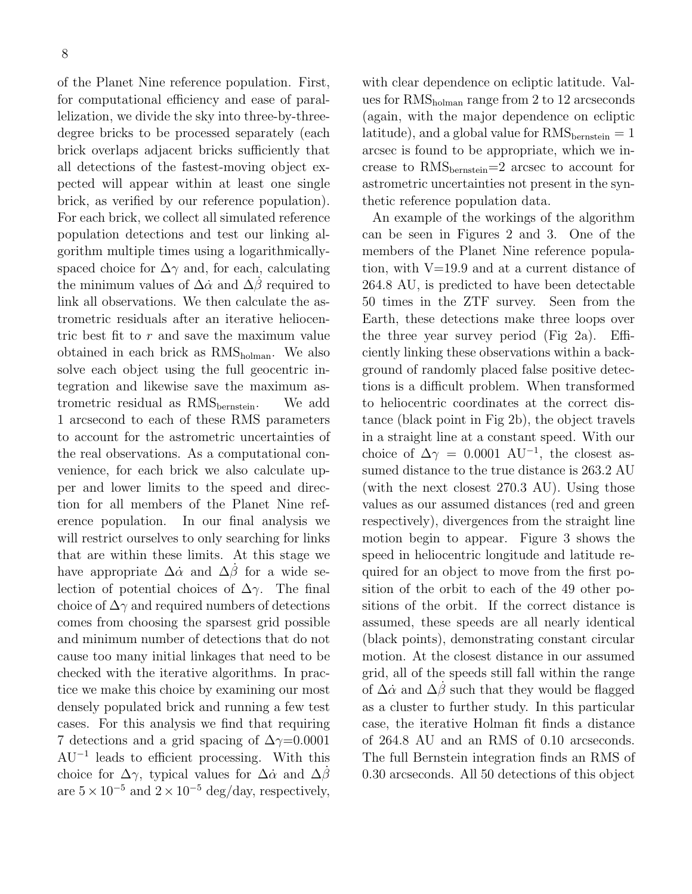of the Planet Nine reference population. First, for computational efficiency and ease of parallelization, we divide the sky into three-by-threedegree bricks to be processed separately (each brick overlaps adjacent bricks sufficiently that all detections of the fastest-moving object expected will appear within at least one single brick, as verified by our reference population). For each brick, we collect all simulated reference population detections and test our linking algorithm multiple times using a logarithmicallyspaced choice for  $\Delta\gamma$  and, for each, calculating the minimum values of  $\Delta \dot{\alpha}$  and  $\Delta \beta$  required to link all observations. We then calculate the astrometric residuals after an iterative heliocentric best fit to r and save the maximum value obtained in each brick as RMSholman. We also solve each object using the full geocentric integration and likewise save the maximum astrometric residual as RMS<sub>bernstein</sub>. We add 1 arcsecond to each of these RMS parameters to account for the astrometric uncertainties of the real observations. As a computational convenience, for each brick we also calculate upper and lower limits to the speed and direction for all members of the Planet Nine reference population. In our final analysis we will restrict ourselves to only searching for links that are within these limits. At this stage we have appropriate  $\Delta \dot{\alpha}$  and  $\Delta \dot{\beta}$  for a wide selection of potential choices of  $\Delta \gamma$ . The final choice of  $\Delta\gamma$  and required numbers of detections comes from choosing the sparsest grid possible and minimum number of detections that do not cause too many initial linkages that need to be checked with the iterative algorithms. In practice we make this choice by examining our most densely populated brick and running a few test cases. For this analysis we find that requiring 7 detections and a grid spacing of  $\Delta \gamma = 0.0001$ AU<sup>−</sup><sup>1</sup> leads to efficient processing. With this choice for  $\Delta \gamma$ , typical values for  $\Delta \dot{\alpha}$  and  $\Delta \beta$ are  $5 \times 10^{-5}$  and  $2 \times 10^{-5}$  deg/day, respectively,

with clear dependence on ecliptic latitude. Values for RMSholman range from 2 to 12 arcseconds (again, with the major dependence on ecliptic latitude), and a global value for  $\text{RMS}_{\text{bernstein}} = 1$ arcsec is found to be appropriate, which we increase to  $\text{RMS}_{\text{bernstein}}=2$  arcsec to account for astrometric uncertainties not present in the synthetic reference population data.

An example of the workings of the algorithm can be seen in Figures 2 and 3. One of the members of the Planet Nine reference population, with V=19.9 and at a current distance of 264.8 AU, is predicted to have been detectable 50 times in the ZTF survey. Seen from the Earth, these detections make three loops over the three year survey period (Fig 2a). Efficiently linking these observations within a background of randomly placed false positive detections is a difficult problem. When transformed to heliocentric coordinates at the correct distance (black point in Fig 2b), the object travels in a straight line at a constant speed. With our choice of  $\Delta \gamma = 0.0001$  AU<sup>-1</sup>, the closest assumed distance to the true distance is 263.2 AU (with the next closest 270.3 AU). Using those values as our assumed distances (red and green respectively), divergences from the straight line motion begin to appear. Figure 3 shows the speed in heliocentric longitude and latitude required for an object to move from the first position of the orbit to each of the 49 other positions of the orbit. If the correct distance is assumed, these speeds are all nearly identical (black points), demonstrating constant circular motion. At the closest distance in our assumed grid, all of the speeds still fall within the range of  $\Delta \dot{\alpha}$  and  $\Delta \dot{\beta}$  such that they would be flagged as a cluster to further study. In this particular case, the iterative Holman fit finds a distance of 264.8 AU and an RMS of 0.10 arcseconds. The full Bernstein integration finds an RMS of 0.30 arcseconds. All 50 detections of this object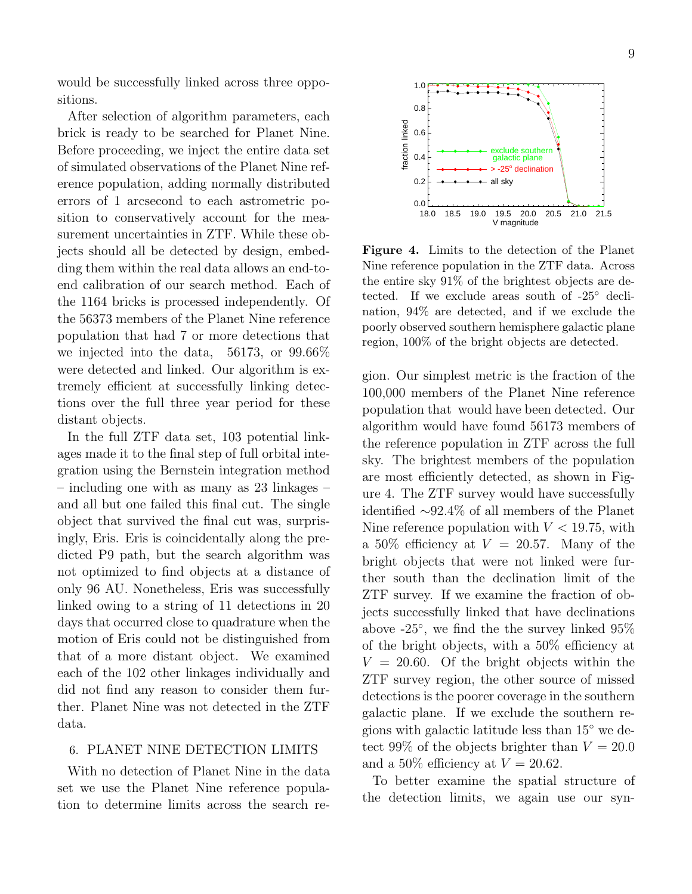would be successfully linked across three oppositions.

After selection of algorithm parameters, each brick is ready to be searched for Planet Nine. Before proceeding, we inject the entire data set of simulated observations of the Planet Nine reference population, adding normally distributed errors of 1 arcsecond to each astrometric position to conservatively account for the measurement uncertainties in ZTF. While these objects should all be detected by design, embedding them within the real data allows an end-toend calibration of our search method. Each of the 1164 bricks is processed independently. Of the 56373 members of the Planet Nine reference population that had 7 or more detections that we injected into the data, 56173, or 99.66% were detected and linked. Our algorithm is extremely efficient at successfully linking detections over the full three year period for these distant objects.

In the full ZTF data set, 103 potential linkages made it to the final step of full orbital integration using the Bernstein integration method – including one with as many as 23 linkages – and all but one failed this final cut. The single object that survived the final cut was, surprisingly, Eris. Eris is coincidentally along the predicted P9 path, but the search algorithm was not optimized to find objects at a distance of only 96 AU. Nonetheless, Eris was successfully linked owing to a string of 11 detections in 20 days that occurred close to quadrature when the motion of Eris could not be distinguished from that of a more distant object. We examined each of the 102 other linkages individually and did not find any reason to consider them further. Planet Nine was not detected in the ZTF data.

#### 6. PLANET NINE DETECTION LIMITS

With no detection of Planet Nine in the data set we use the Planet Nine reference population to determine limits across the search re-



Figure 4. Limits to the detection of the Planet Nine reference population in the ZTF data. Across the entire sky 91% of the brightest objects are detected. If we exclude areas south of -25◦ declination, 94% are detected, and if we exclude the poorly observed southern hemisphere galactic plane region, 100% of the bright objects are detected.

gion. Our simplest metric is the fraction of the 100,000 members of the Planet Nine reference population that would have been detected. Our algorithm would have found 56173 members of the reference population in ZTF across the full sky. The brightest members of the population are most efficiently detected, as shown in Figure 4. The ZTF survey would have successfully identified ∼92.4% of all members of the Planet Nine reference population with  $V < 19.75$ , with a 50% efficiency at  $V = 20.57$ . Many of the bright objects that were not linked were further south than the declination limit of the ZTF survey. If we examine the fraction of objects successfully linked that have declinations above -25◦ , we find the the survey linked 95% of the bright objects, with a 50% efficiency at  $V = 20.60$ . Of the bright objects within the ZTF survey region, the other source of missed detections is the poorer coverage in the southern galactic plane. If we exclude the southern regions with galactic latitude less than 15◦ we detect 99% of the objects brighter than  $V = 20.0$ and a 50% efficiency at  $V = 20.62$ .

To better examine the spatial structure of the detection limits, we again use our syn-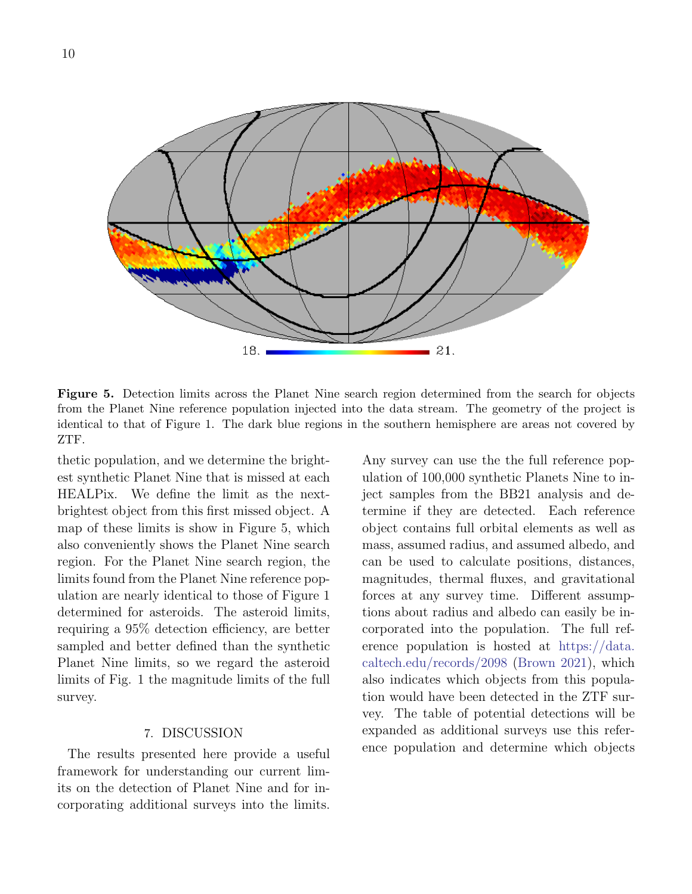

Figure 5. Detection limits across the Planet Nine search region determined from the search for objects from the Planet Nine reference population injected into the data stream. The geometry of the project is identical to that of Figure 1. The dark blue regions in the southern hemisphere are areas not covered by ZTF.

thetic population, and we determine the brightest synthetic Planet Nine that is missed at each HEALPix. We define the limit as the nextbrightest object from this first missed object. A map of these limits is show in Figure 5, which also conveniently shows the Planet Nine search region. For the Planet Nine search region, the limits found from the Planet Nine reference population are nearly identical to those of Figure 1 determined for asteroids. The asteroid limits, requiring a 95% detection efficiency, are better sampled and better defined than the synthetic Planet Nine limits, so we regard the asteroid limits of Fig. 1 the magnitude limits of the full survey.

# 7. DISCUSSION

The results presented here provide a useful framework for understanding our current limits on the detection of Planet Nine and for incorporating additional surveys into the limits. Any survey can use the the full reference population of 100,000 synthetic Planets Nine to inject samples from the BB21 analysis and determine if they are detected. Each reference object contains full orbital elements as well as mass, assumed radius, and assumed albedo, and can be used to calculate positions, distances, magnitudes, thermal fluxes, and gravitational forces at any survey time. Different assumptions about radius and albedo can easily be incorporated into the population. The full reference population is hosted at [https://data.](https://data.caltech.edu/records/2098) [caltech.edu/records/2098](https://data.caltech.edu/records/2098) [\(Brown](#page-10-6) [2021\)](#page-10-6), which also indicates which objects from this population would have been detected in the ZTF survey. The table of potential detections will be expanded as additional surveys use this reference population and determine which objects